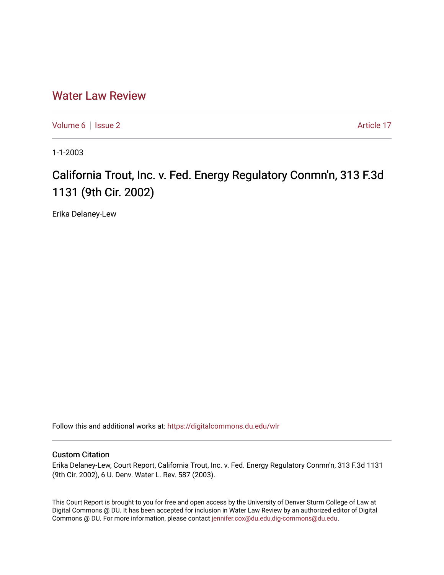## [Water Law Review](https://digitalcommons.du.edu/wlr)

[Volume 6](https://digitalcommons.du.edu/wlr/vol6) | [Issue 2](https://digitalcommons.du.edu/wlr/vol6/iss2) Article 17

1-1-2003

## California Trout, Inc. v. Fed. Energy Regulatory Conmn'n, 313 F.3d 1131 (9th Cir. 2002)

Erika Delaney-Lew

Follow this and additional works at: [https://digitalcommons.du.edu/wlr](https://digitalcommons.du.edu/wlr?utm_source=digitalcommons.du.edu%2Fwlr%2Fvol6%2Fiss2%2F17&utm_medium=PDF&utm_campaign=PDFCoverPages) 

## Custom Citation

Erika Delaney-Lew, Court Report, California Trout, Inc. v. Fed. Energy Regulatory Conmn'n, 313 F.3d 1131 (9th Cir. 2002), 6 U. Denv. Water L. Rev. 587 (2003).

This Court Report is brought to you for free and open access by the University of Denver Sturm College of Law at Digital Commons @ DU. It has been accepted for inclusion in Water Law Review by an authorized editor of Digital Commons @ DU. For more information, please contact [jennifer.cox@du.edu,dig-commons@du.edu.](mailto:jennifer.cox@du.edu,dig-commons@du.edu)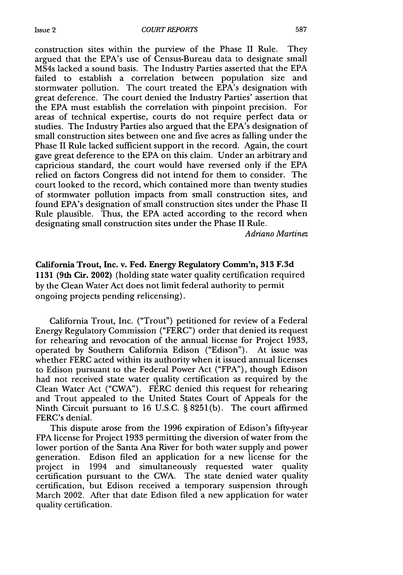construction sites within the purview of the Phase II Rule. They argued that the EPA's use of Census-Bureau data to designate small MS4s lacked a sound basis. The Industry Parties asserted that the EPA failed to establish a correlation between population size and stormwater pollution. The court treated the EPA's designation with great deference. The court denied the Industry Parties' assertion that the EPA must establish the correlation with pinpoint precision. For areas of technical expertise, courts do not require perfect data or studies. The Industry Parties also argued that the EPA's designation of small construction sites between one and five acres as falling under the Phase II Rule lacked sufficient support in the record. Again, the court gave great deference to the EPA on this claim. Under an arbitrary and capricious standard, the court would have reversed only if the EPA relied on factors Congress did not intend for them to consider. The court looked to the record, which contained more than twenty studies of stormwater pollution impacts from small construction sites, and found EPA's designation of small construction sites under the Phase II Rule plausible. Thus, the EPA acted according to the record when designating small construction sites under the Phase II Rule.

*Adriano Martinez*

California Trout, Inc. v. Fed. Energy Regulatory Conmn'n, **313 F.3d** 1131 (9th Cir. 2002) (holding state water quality certification required by the Clean Water Act does not limit federal authority to permit ongoing projects pending relicensing).

California Trout, Inc. ("Trout") petitioned for review of a Federal Energy Regulatory Commission ("FERC") order that denied its request for rehearing and revocation of the annual license for Project 1933, operated by Southern California Edison ("Edison"). At issue was whether FERC acted within its authority when it issued annual licenses to Edison pursuant to the Federal Power Act ("FPA"), though Edison had not received state water quality certification as required by the Clean Water Act ("CWA"). FERC denied this request for rehearing and Trout appealed to the United States Court of Appeals for the Ninth Circuit pursuant to 16 U.S.C. § 8251(b). The court affirmed FERC's denial.

This dispute arose from the 1996 expiration of Edison's fifty-year FPA license for Project 1933 permitting the diversion of water from the lower portion of the Santa Ana River for both water supply and power generation. Edison filed an application for a new license for the project in 1994 and simultaneously requested water quality certification pursuant to the CWA. The state denied water quality certification, but Edison received a temporary suspension through March 2002. After that date Edison filed a new application for water quality certification.